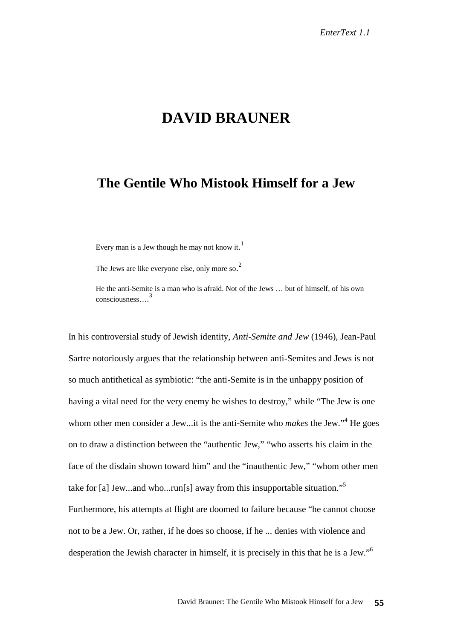# **DAVID BRAUNER**

# **The Gentile Who Mistook Himself for a Jew**

Every man is a Jew though he may not know it.<sup>1</sup>

The Jews are like everyone else, only more so.<sup>2</sup>

He the anti-Semite is a man who is afraid. Not of the Jews … but of himself, of his own consciousness…. 3

In his controversial study of Jewish identity, *Anti-Semite and Jew* (1946), Jean-Paul Sartre notoriously argues that the relationship between anti-Semites and Jews is not so much antithetical as symbiotic: "the anti-Semite is in the unhappy position of having a vital need for the very enemy he wishes to destroy," while "The Jew is one whom other men consider a Jew...it is the anti-Semite who *makes* the Jew."<sup>4</sup> He goes on to draw a distinction between the "authentic Jew," "who asserts his claim in the face of the disdain shown toward him" and the "inauthentic Jew," "whom other men take for [a] Jew...and who...run[s] away from this insupportable situation."5 Furthermore, his attempts at flight are doomed to failure because "he cannot choose not to be a Jew. Or, rather, if he does so choose, if he ... denies with violence and desperation the Jewish character in himself, it is precisely in this that he is a Jew."<sup>6</sup>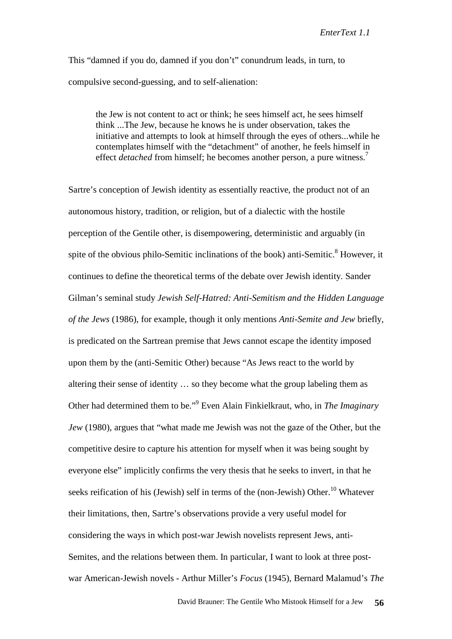This "damned if you do, damned if you don't" conundrum leads, in turn, to compulsive second-guessing, and to self-alienation:

the Jew is not content to act or think; he sees himself act, he sees himself think ...The Jew, because he knows he is under observation, takes the initiative and attempts to look at himself through the eyes of others...while he contemplates himself with the "detachment" of another, he feels himself in effect *detached* from himself; he becomes another person, a pure witness.<sup>7</sup>

Sartre's conception of Jewish identity as essentially reactive, the product not of an autonomous history, tradition, or religion, but of a dialectic with the hostile perception of the Gentile other, is disempowering, deterministic and arguably (in spite of the obvious philo-Semitic inclinations of the book) anti-Semitic.<sup>8</sup> However, it continues to define the theoretical terms of the debate over Jewish identity. Sander Gilman's seminal study *Jewish Self-Hatred: Anti-Semitism and the Hidden Language of the Jews* (1986), for example, though it only mentions *Anti-Semite and Jew* briefly, is predicated on the Sartrean premise that Jews cannot escape the identity imposed upon them by the (anti-Semitic Other) because "As Jews react to the world by altering their sense of identity … so they become what the group labeling them as Other had determined them to be."<sup>9</sup> Even Alain Finkielkraut, who, in *The Imaginary Jew* (1980), argues that "what made me Jewish was not the gaze of the Other, but the competitive desire to capture his attention for myself when it was being sought by everyone else" implicitly confirms the very thesis that he seeks to invert, in that he seeks reification of his (Jewish) self in terms of the (non-Jewish) Other.<sup>10</sup> Whatever their limitations, then, Sartre's observations provide a very useful model for considering the ways in which post-war Jewish novelists represent Jews, anti-Semites, and the relations between them. In particular, I want to look at three postwar American-Jewish novels - Arthur Miller's *Focus* (1945), Bernard Malamud's *The*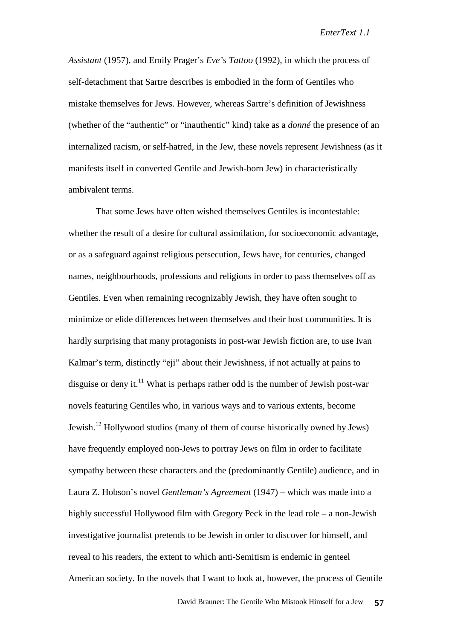*Assistant* (1957), and Emily Prager's *Eve's Tattoo* (1992), in which the process of self-detachment that Sartre describes is embodied in the form of Gentiles who mistake themselves for Jews. However, whereas Sartre's definition of Jewishness (whether of the "authentic" or "inauthentic" kind) take as a *donné* the presence of an internalized racism, or self-hatred, in the Jew, these novels represent Jewishness (as it manifests itself in converted Gentile and Jewish-born Jew) in characteristically ambivalent terms.

That some Jews have often wished themselves Gentiles is incontestable: whether the result of a desire for cultural assimilation, for socioeconomic advantage, or as a safeguard against religious persecution, Jews have, for centuries, changed names, neighbourhoods, professions and religions in order to pass themselves off as Gentiles. Even when remaining recognizably Jewish, they have often sought to minimize or elide differences between themselves and their host communities. It is hardly surprising that many protagonists in post-war Jewish fiction are, to use Ivan Kalmar's term, distinctly "eji" about their Jewishness, if not actually at pains to disguise or deny it.<sup>11</sup> What is perhaps rather odd is the number of Jewish post-war novels featuring Gentiles who, in various ways and to various extents, become Jewish.12 Hollywood studios (many of them of course historically owned by Jews) have frequently employed non-Jews to portray Jews on film in order to facilitate sympathy between these characters and the (predominantly Gentile) audience, and in Laura Z. Hobson's novel *Gentleman's Agreement* (1947) – which was made into a highly successful Hollywood film with Gregory Peck in the lead role – a non-Jewish investigative journalist pretends to be Jewish in order to discover for himself, and reveal to his readers, the extent to which anti-Semitism is endemic in genteel American society. In the novels that I want to look at, however, the process of Gentile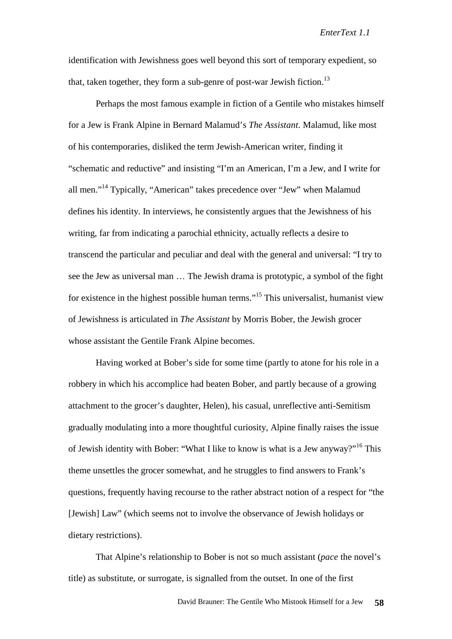identification with Jewishness goes well beyond this sort of temporary expedient, so that, taken together, they form a sub-genre of post-war Jewish fiction.<sup>13</sup>

Perhaps the most famous example in fiction of a Gentile who mistakes himself for a Jew is Frank Alpine in Bernard Malamud's *The Assistant*. Malamud, like most of his contemporaries, disliked the term Jewish-American writer, finding it "schematic and reductive" and insisting "I'm an American, I'm a Jew, and I write for all men."14 Typically, "American" takes precedence over "Jew" when Malamud defines his identity. In interviews, he consistently argues that the Jewishness of his writing, far from indicating a parochial ethnicity, actually reflects a desire to transcend the particular and peculiar and deal with the general and universal: "I try to see the Jew as universal man … The Jewish drama is prototypic, a symbol of the fight for existence in the highest possible human terms."15 This universalist, humanist view of Jewishness is articulated in *The Assistant* by Morris Bober, the Jewish grocer whose assistant the Gentile Frank Alpine becomes.

Having worked at Bober's side for some time (partly to atone for his role in a robbery in which his accomplice had beaten Bober, and partly because of a growing attachment to the grocer's daughter, Helen), his casual, unreflective anti-Semitism gradually modulating into a more thoughtful curiosity, Alpine finally raises the issue of Jewish identity with Bober: "What I like to know is what is a Jew anyway?"<sup>16</sup> This theme unsettles the grocer somewhat, and he struggles to find answers to Frank's questions, frequently having recourse to the rather abstract notion of a respect for "the [Jewish] Law" (which seems not to involve the observance of Jewish holidays or dietary restrictions).

That Alpine's relationship to Bober is not so much assistant (*pace* the novel's title) as substitute, or surrogate, is signalled from the outset. In one of the first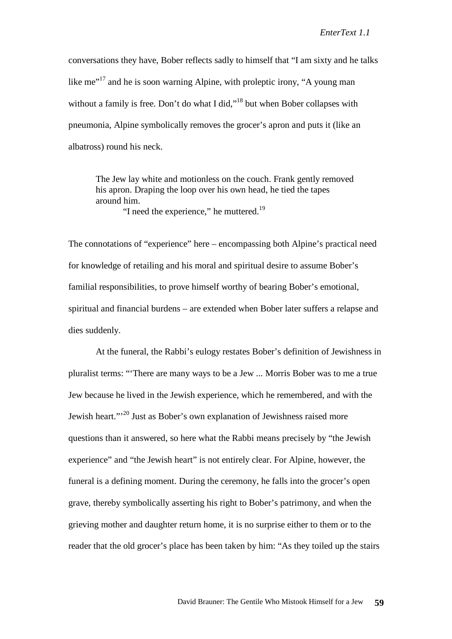conversations they have, Bober reflects sadly to himself that "I am sixty and he talks like me $"^{17}$  and he is soon warning Alpine, with proleptic irony, "A young man without a family is free. Don't do what I did,"<sup>18</sup> but when Bober collapses with pneumonia, Alpine symbolically removes the grocer's apron and puts it (like an albatross) round his neck.

The Jew lay white and motionless on the couch. Frank gently removed his apron. Draping the loop over his own head, he tied the tapes around him. "I need the experience," he muttered.<sup>19</sup>

The connotations of "experience" here – encompassing both Alpine's practical need for knowledge of retailing and his moral and spiritual desire to assume Bober's familial responsibilities, to prove himself worthy of bearing Bober's emotional, spiritual and financial burdens – are extended when Bober later suffers a relapse and dies suddenly.

At the funeral, the Rabbi's eulogy restates Bober's definition of Jewishness in pluralist terms: "'There are many ways to be a Jew ... Morris Bober was to me a true Jew because he lived in the Jewish experience, which he remembered, and with the Jewish heart."'20 Just as Bober's own explanation of Jewishness raised more questions than it answered, so here what the Rabbi means precisely by "the Jewish experience" and "the Jewish heart" is not entirely clear. For Alpine, however, the funeral is a defining moment. During the ceremony, he falls into the grocer's open grave, thereby symbolically asserting his right to Bober's patrimony, and when the grieving mother and daughter return home, it is no surprise either to them or to the reader that the old grocer's place has been taken by him: "As they toiled up the stairs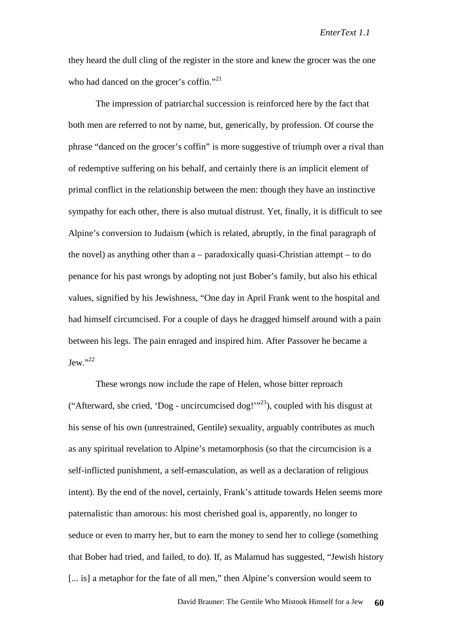they heard the dull cling of the register in the store and knew the grocer was the one who had danced on the grocer's coffin."<sup>21</sup>

The impression of patriarchal succession is reinforced here by the fact that both men are referred to not by name, but, generically, by profession. Of course the phrase "danced on the grocer's coffin" is more suggestive of triumph over a rival than of redemptive suffering on his behalf, and certainly there is an implicit element of primal conflict in the relationship between the men: though they have an instinctive sympathy for each other, there is also mutual distrust. Yet, finally, it is difficult to see Alpine's conversion to Judaism (which is related, abruptly, in the final paragraph of the novel) as anything other than a – paradoxically quasi-Christian attempt – to do penance for his past wrongs by adopting not just Bober's family, but also his ethical values, signified by his Jewishness, "One day in April Frank went to the hospital and had himself circumcised. For a couple of days he dragged himself around with a pain between his legs. The pain enraged and inspired him. After Passover he became a  $I_{\text{ew}}$ <sup> $,22$ </sup>

These wrongs now include the rape of Helen, whose bitter reproach ("Afterward, she cried, 'Dog - uncircumcised dog!" $^{23}$ ), coupled with his disgust at his sense of his own (unrestrained, Gentile) sexuality, arguably contributes as much as any spiritual revelation to Alpine's metamorphosis (so that the circumcision is a self-inflicted punishment, a self-emasculation, as well as a declaration of religious intent). By the end of the novel, certainly, Frank's attitude towards Helen seems more paternalistic than amorous: his most cherished goal is, apparently, no longer to seduce or even to marry her, but to earn the money to send her to college (something that Bober had tried, and failed, to do). If, as Malamud has suggested, "Jewish history [... is] a metaphor for the fate of all men," then Alpine's conversion would seem to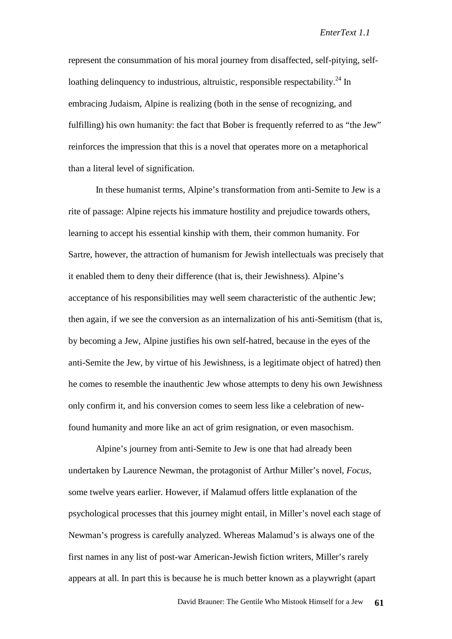represent the consummation of his moral journey from disaffected, self-pitying, selfloathing delinquency to industrious, altruistic, responsible respectability.<sup>24</sup> In embracing Judaism, Alpine is realizing (both in the sense of recognizing, and fulfilling) his own humanity: the fact that Bober is frequently referred to as "the Jew" reinforces the impression that this is a novel that operates more on a metaphorical than a literal level of signification.

In these humanist terms, Alpine's transformation from anti-Semite to Jew is a rite of passage: Alpine rejects his immature hostility and prejudice towards others, learning to accept his essential kinship with them, their common humanity. For Sartre, however, the attraction of humanism for Jewish intellectuals was precisely that it enabled them to deny their difference (that is, their Jewishness). Alpine's acceptance of his responsibilities may well seem characteristic of the authentic Jew; then again, if we see the conversion as an internalization of his anti-Semitism (that is, by becoming a Jew, Alpine justifies his own self-hatred, because in the eyes of the anti-Semite the Jew, by virtue of his Jewishness, is a legitimate object of hatred) then he comes to resemble the inauthentic Jew whose attempts to deny his own Jewishness only confirm it, and his conversion comes to seem less like a celebration of newfound humanity and more like an act of grim resignation, or even masochism.

Alpine's journey from anti-Semite to Jew is one that had already been undertaken by Laurence Newman, the protagonist of Arthur Miller's novel, *Focus*, some twelve years earlier. However, if Malamud offers little explanation of the psychological processes that this journey might entail, in Miller's novel each stage of Newman's progress is carefully analyzed. Whereas Malamud's is always one of the first names in any list of post-war American-Jewish fiction writers, Miller's rarely appears at all. In part this is because he is much better known as a playwright (apart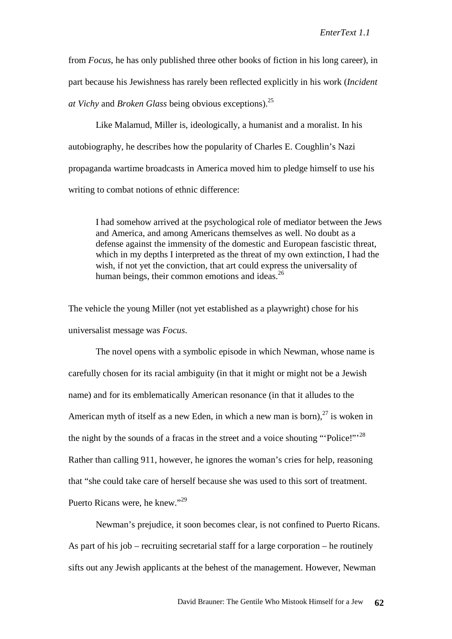from *Focus*, he has only published three other books of fiction in his long career), in part because his Jewishness has rarely been reflected explicitly in his work (*Incident at Vichy* and *Broken Glass* being obvious exceptions).25

Like Malamud, Miller is, ideologically, a humanist and a moralist. In his autobiography, he describes how the popularity of Charles E. Coughlin's Nazi propaganda wartime broadcasts in America moved him to pledge himself to use his writing to combat notions of ethnic difference:

I had somehow arrived at the psychological role of mediator between the Jews and America, and among Americans themselves as well. No doubt as a defense against the immensity of the domestic and European fascistic threat, which in my depths I interpreted as the threat of my own extinction, I had the wish, if not yet the conviction, that art could express the universality of human beings, their common emotions and ideas.<sup>26</sup>

The vehicle the young Miller (not yet established as a playwright) chose for his universalist message was *Focus*.

The novel opens with a symbolic episode in which Newman, whose name is carefully chosen for its racial ambiguity (in that it might or might not be a Jewish name) and for its emblematically American resonance (in that it alludes to the American myth of itself as a new Eden, in which a new man is born),  $27$  is woken in the night by the sounds of a fracas in the street and a voice shouting "Police!"<sup> $28$ </sup> Rather than calling 911, however, he ignores the woman's cries for help, reasoning that "she could take care of herself because she was used to this sort of treatment. Puerto Ricans were, he knew."<sup>29</sup>

Newman's prejudice, it soon becomes clear, is not confined to Puerto Ricans. As part of his job – recruiting secretarial staff for a large corporation – he routinely sifts out any Jewish applicants at the behest of the management. However, Newman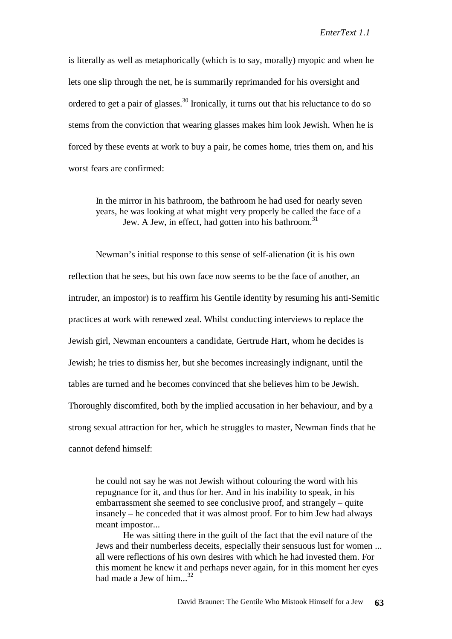is literally as well as metaphorically (which is to say, morally) myopic and when he lets one slip through the net, he is summarily reprimanded for his oversight and ordered to get a pair of glasses.<sup>30</sup> Ironically, it turns out that his reluctance to do so stems from the conviction that wearing glasses makes him look Jewish. When he is forced by these events at work to buy a pair, he comes home, tries them on, and his worst fears are confirmed:

In the mirror in his bathroom, the bathroom he had used for nearly seven years, he was looking at what might very properly be called the face of a Jew. A Jew, in effect, had gotten into his bathroom.<sup>31</sup>

Newman's initial response to this sense of self-alienation (it is his own reflection that he sees, but his own face now seems to be the face of another, an intruder, an impostor) is to reaffirm his Gentile identity by resuming his anti-Semitic practices at work with renewed zeal. Whilst conducting interviews to replace the Jewish girl, Newman encounters a candidate, Gertrude Hart, whom he decides is Jewish; he tries to dismiss her, but she becomes increasingly indignant, until the tables are turned and he becomes convinced that she believes him to be Jewish. Thoroughly discomfited, both by the implied accusation in her behaviour, and by a strong sexual attraction for her, which he struggles to master, Newman finds that he cannot defend himself:

he could not say he was not Jewish without colouring the word with his repugnance for it, and thus for her. And in his inability to speak, in his embarrassment she seemed to see conclusive proof, and strangely – quite insanely – he conceded that it was almost proof. For to him Jew had always meant impostor...

He was sitting there in the guilt of the fact that the evil nature of the Jews and their numberless deceits, especially their sensuous lust for women ... all were reflections of his own desires with which he had invested them. For this moment he knew it and perhaps never again, for in this moment her eyes had made a Jew of him...<sup>32</sup>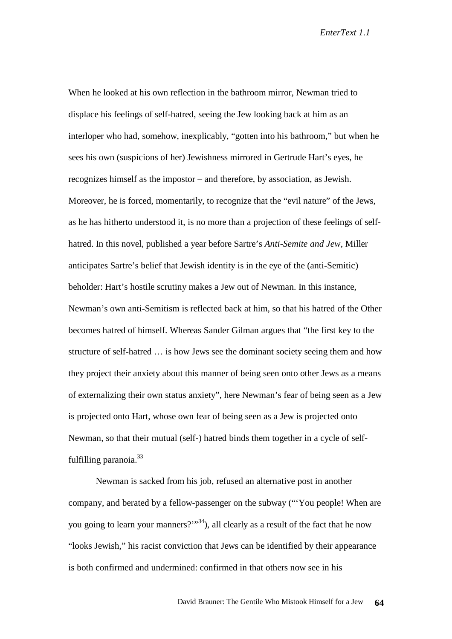*EnterText 1.1*

When he looked at his own reflection in the bathroom mirror, Newman tried to displace his feelings of self-hatred, seeing the Jew looking back at him as an interloper who had, somehow, inexplicably, "gotten into his bathroom," but when he sees his own (suspicions of her) Jewishness mirrored in Gertrude Hart's eyes, he recognizes himself as the impostor – and therefore, by association, as Jewish. Moreover, he is forced, momentarily, to recognize that the "evil nature" of the Jews, as he has hitherto understood it, is no more than a projection of these feelings of selfhatred. In this novel, published a year before Sartre's *Anti-Semite and Jew*, Miller anticipates Sartre's belief that Jewish identity is in the eye of the (anti-Semitic) beholder: Hart's hostile scrutiny makes a Jew out of Newman. In this instance, Newman's own anti-Semitism is reflected back at him, so that his hatred of the Other becomes hatred of himself. Whereas Sander Gilman argues that "the first key to the structure of self-hatred … is how Jews see the dominant society seeing them and how they project their anxiety about this manner of being seen onto other Jews as a means of externalizing their own status anxiety", here Newman's fear of being seen as a Jew is projected onto Hart, whose own fear of being seen as a Jew is projected onto Newman, so that their mutual (self-) hatred binds them together in a cycle of selffulfilling paranoia. $33$ 

Newman is sacked from his job, refused an alternative post in another company, and berated by a fellow-passenger on the subway ("'You people! When are you going to learn your manners?"<sup>34</sup>), all clearly as a result of the fact that he now "looks Jewish," his racist conviction that Jews can be identified by their appearance is both confirmed and undermined: confirmed in that others now see in his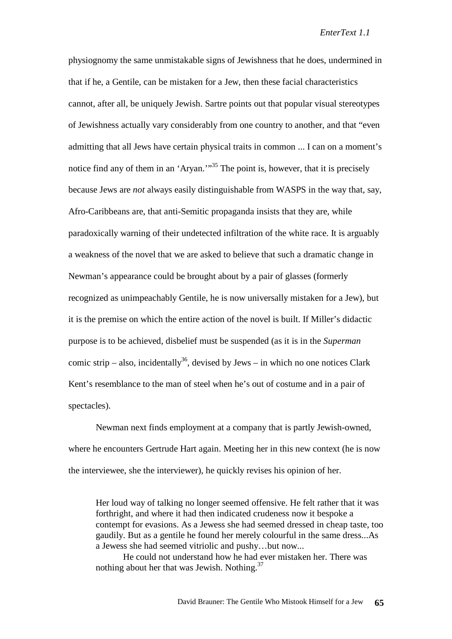physiognomy the same unmistakable signs of Jewishness that he does, undermined in that if he, a Gentile, can be mistaken for a Jew, then these facial characteristics cannot, after all, be uniquely Jewish. Sartre points out that popular visual stereotypes of Jewishness actually vary considerably from one country to another, and that "even admitting that all Jews have certain physical traits in common ... I can on a moment's notice find any of them in an 'Aryan.'<sup>35</sup> The point is, however, that it is precisely because Jews are *not* always easily distinguishable from WASPS in the way that, say, Afro-Caribbeans are, that anti-Semitic propaganda insists that they are, while paradoxically warning of their undetected infiltration of the white race. It is arguably a weakness of the novel that we are asked to believe that such a dramatic change in Newman's appearance could be brought about by a pair of glasses (formerly recognized as unimpeachably Gentile, he is now universally mistaken for a Jew), but it is the premise on which the entire action of the novel is built. If Miller's didactic purpose is to be achieved, disbelief must be suspended (as it is in the *Superman* comic strip – also, incidentally<sup>36</sup>, devised by Jews – in which no one notices Clark Kent's resemblance to the man of steel when he's out of costume and in a pair of spectacles).

Newman next finds employment at a company that is partly Jewish-owned, where he encounters Gertrude Hart again. Meeting her in this new context (he is now the interviewee, she the interviewer), he quickly revises his opinion of her.

Her loud way of talking no longer seemed offensive. He felt rather that it was forthright, and where it had then indicated crudeness now it bespoke a contempt for evasions. As a Jewess she had seemed dressed in cheap taste, too gaudily. But as a gentile he found her merely colourful in the same dress...As a Jewess she had seemed vitriolic and pushy…but now...

He could not understand how he had ever mistaken her. There was nothing about her that was Jewish. Nothing.<sup>37</sup>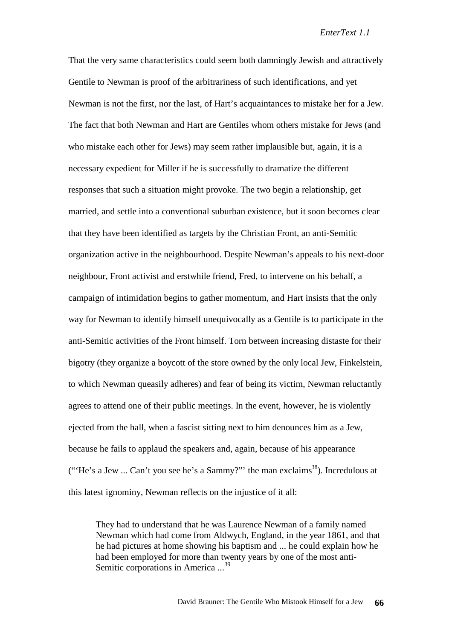## *EnterText 1.1*

That the very same characteristics could seem both damningly Jewish and attractively Gentile to Newman is proof of the arbitrariness of such identifications, and yet Newman is not the first, nor the last, of Hart's acquaintances to mistake her for a Jew. The fact that both Newman and Hart are Gentiles whom others mistake for Jews (and who mistake each other for Jews) may seem rather implausible but, again, it is a necessary expedient for Miller if he is successfully to dramatize the different responses that such a situation might provoke. The two begin a relationship, get married, and settle into a conventional suburban existence, but it soon becomes clear that they have been identified as targets by the Christian Front, an anti-Semitic organization active in the neighbourhood. Despite Newman's appeals to his next-door neighbour, Front activist and erstwhile friend, Fred, to intervene on his behalf, a campaign of intimidation begins to gather momentum, and Hart insists that the only way for Newman to identify himself unequivocally as a Gentile is to participate in the anti-Semitic activities of the Front himself. Torn between increasing distaste for their bigotry (they organize a boycott of the store owned by the only local Jew, Finkelstein, to which Newman queasily adheres) and fear of being its victim, Newman reluctantly agrees to attend one of their public meetings. In the event, however, he is violently ejected from the hall, when a fascist sitting next to him denounces him as a Jew, because he fails to applaud the speakers and, again, because of his appearance ("'He's a Jew ... Can't you see he's a Sammy?"" the man exclaims<sup>38</sup>). Incredulous at this latest ignominy, Newman reflects on the injustice of it all:

They had to understand that he was Laurence Newman of a family named Newman which had come from Aldwych, England, in the year 1861, and that he had pictures at home showing his baptism and ... he could explain how he had been employed for more than twenty years by one of the most anti-Semitic corporations in America ...<sup>39</sup>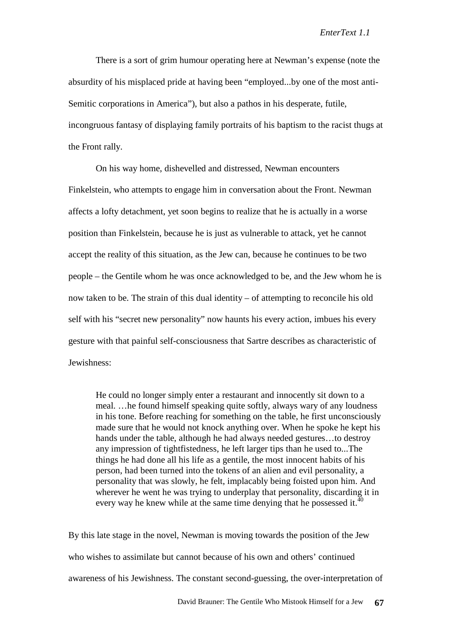There is a sort of grim humour operating here at Newman's expense (note the absurdity of his misplaced pride at having been "employed...by one of the most anti-Semitic corporations in America"), but also a pathos in his desperate, futile, incongruous fantasy of displaying family portraits of his baptism to the racist thugs at the Front rally.

On his way home, dishevelled and distressed, Newman encounters Finkelstein, who attempts to engage him in conversation about the Front. Newman affects a lofty detachment, yet soon begins to realize that he is actually in a worse position than Finkelstein, because he is just as vulnerable to attack, yet he cannot accept the reality of this situation, as the Jew can, because he continues to be two people – the Gentile whom he was once acknowledged to be, and the Jew whom he is now taken to be. The strain of this dual identity – of attempting to reconcile his old self with his "secret new personality" now haunts his every action, imbues his every gesture with that painful self-consciousness that Sartre describes as characteristic of Jewishness:

He could no longer simply enter a restaurant and innocently sit down to a meal. …he found himself speaking quite softly, always wary of any loudness in his tone. Before reaching for something on the table, he first unconsciously made sure that he would not knock anything over. When he spoke he kept his hands under the table, although he had always needed gestures…to destroy any impression of tightfistedness, he left larger tips than he used to...The things he had done all his life as a gentile, the most innocent habits of his person, had been turned into the tokens of an alien and evil personality, a personality that was slowly, he felt, implacably being foisted upon him. And wherever he went he was trying to underplay that personality, discarding it in every way he knew while at the same time denying that he possessed it.<sup>40</sup>

By this late stage in the novel, Newman is moving towards the position of the Jew who wishes to assimilate but cannot because of his own and others' continued awareness of his Jewishness. The constant second-guessing, the over-interpretation of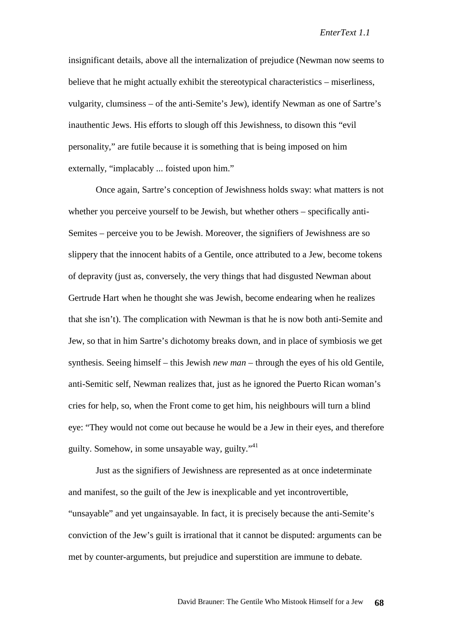#### *EnterText 1.1*

insignificant details, above all the internalization of prejudice (Newman now seems to believe that he might actually exhibit the stereotypical characteristics – miserliness, vulgarity, clumsiness – of the anti-Semite's Jew), identify Newman as one of Sartre's inauthentic Jews. His efforts to slough off this Jewishness, to disown this "evil personality," are futile because it is something that is being imposed on him externally, "implacably ... foisted upon him."

Once again, Sartre's conception of Jewishness holds sway: what matters is not whether you perceive yourself to be Jewish, but whether others – specifically anti-Semites – perceive you to be Jewish. Moreover, the signifiers of Jewishness are so slippery that the innocent habits of a Gentile, once attributed to a Jew, become tokens of depravity (just as, conversely, the very things that had disgusted Newman about Gertrude Hart when he thought she was Jewish, become endearing when he realizes that she isn't). The complication with Newman is that he is now both anti-Semite and Jew, so that in him Sartre's dichotomy breaks down, and in place of symbiosis we get synthesis. Seeing himself – this Jewish *new man* – through the eyes of his old Gentile, anti-Semitic self, Newman realizes that, just as he ignored the Puerto Rican woman's cries for help, so, when the Front come to get him, his neighbours will turn a blind eye: "They would not come out because he would be a Jew in their eyes, and therefore guilty. Somehow, in some unsayable way, guilty."41

Just as the signifiers of Jewishness are represented as at once indeterminate and manifest, so the guilt of the Jew is inexplicable and yet incontrovertible, "unsayable" and yet ungainsayable. In fact, it is precisely because the anti-Semite's conviction of the Jew's guilt is irrational that it cannot be disputed: arguments can be met by counter-arguments, but prejudice and superstition are immune to debate.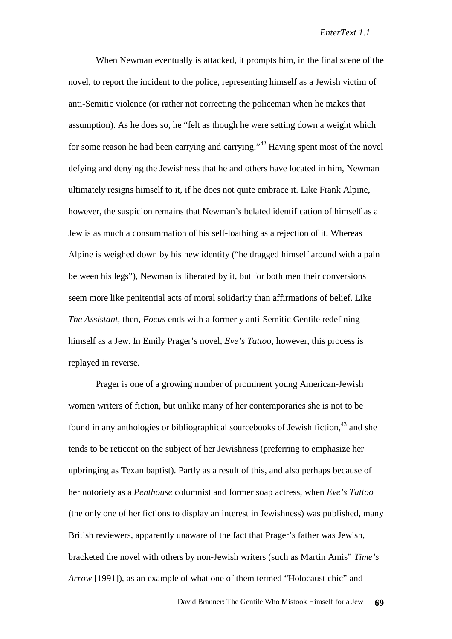## *EnterText 1.1*

When Newman eventually is attacked, it prompts him, in the final scene of the novel, to report the incident to the police, representing himself as a Jewish victim of anti-Semitic violence (or rather not correcting the policeman when he makes that assumption). As he does so, he "felt as though he were setting down a weight which for some reason he had been carrying and carrying."42 Having spent most of the novel defying and denying the Jewishness that he and others have located in him, Newman ultimately resigns himself to it, if he does not quite embrace it. Like Frank Alpine, however, the suspicion remains that Newman's belated identification of himself as a Jew is as much a consummation of his self-loathing as a rejection of it. Whereas Alpine is weighed down by his new identity ("he dragged himself around with a pain between his legs"), Newman is liberated by it, but for both men their conversions seem more like penitential acts of moral solidarity than affirmations of belief. Like *The Assistant*, then, *Focus* ends with a formerly anti-Semitic Gentile redefining himself as a Jew. In Emily Prager's novel, *Eve's Tattoo*, however, this process is replayed in reverse.

Prager is one of a growing number of prominent young American-Jewish women writers of fiction, but unlike many of her contemporaries she is not to be found in any anthologies or bibliographical sourcebooks of Jewish fiction,  $43$  and she tends to be reticent on the subject of her Jewishness (preferring to emphasize her upbringing as Texan baptist). Partly as a result of this, and also perhaps because of her notoriety as a *Penthouse* columnist and former soap actress, when *Eve's Tattoo* (the only one of her fictions to display an interest in Jewishness) was published, many British reviewers, apparently unaware of the fact that Prager's father was Jewish, bracketed the novel with others by non-Jewish writers (such as Martin Amis" *Time's Arrow* [1991]), as an example of what one of them termed "Holocaust chic" and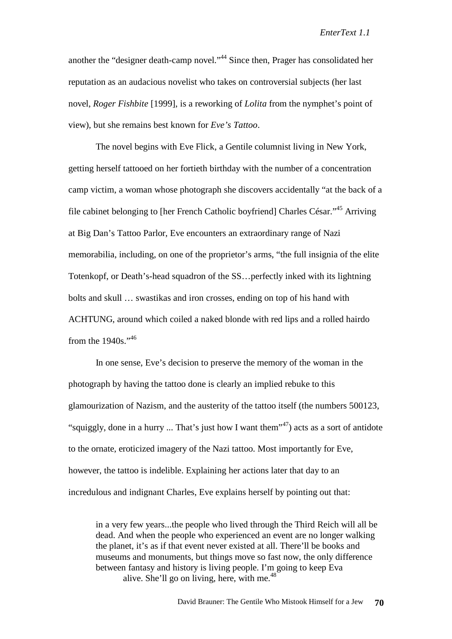another the "designer death-camp novel."44 Since then, Prager has consolidated her reputation as an audacious novelist who takes on controversial subjects (her last novel, *Roger Fishbite* [1999], is a reworking of *Lolita* from the nymphet's point of view), but she remains best known for *Eve's Tattoo*.

The novel begins with Eve Flick, a Gentile columnist living in New York, getting herself tattooed on her fortieth birthday with the number of a concentration camp victim, a woman whose photograph she discovers accidentally "at the back of a file cabinet belonging to [her French Catholic boyfriend] Charles César."45 Arriving at Big Dan's Tattoo Parlor, Eve encounters an extraordinary range of Nazi memorabilia, including, on one of the proprietor's arms, "the full insignia of the elite Totenkopf, or Death's-head squadron of the SS…perfectly inked with its lightning bolts and skull … swastikas and iron crosses, ending on top of his hand with ACHTUNG, around which coiled a naked blonde with red lips and a rolled hairdo from the 1940s."<sup>46</sup>

In one sense, Eve's decision to preserve the memory of the woman in the photograph by having the tattoo done is clearly an implied rebuke to this glamourization of Nazism, and the austerity of the tattoo itself (the numbers 500123, "squiggly, done in a hurry ... That's just how I want them"<sup>47</sup>) acts as a sort of antidote to the ornate, eroticized imagery of the Nazi tattoo. Most importantly for Eve, however, the tattoo is indelible. Explaining her actions later that day to an incredulous and indignant Charles, Eve explains herself by pointing out that:

in a very few years...the people who lived through the Third Reich will all be dead. And when the people who experienced an event are no longer walking the planet, it's as if that event never existed at all. There'll be books and museums and monuments, but things move so fast now, the only difference between fantasy and history is living people. I'm going to keep Eva alive. She'll go on living, here, with me. $48$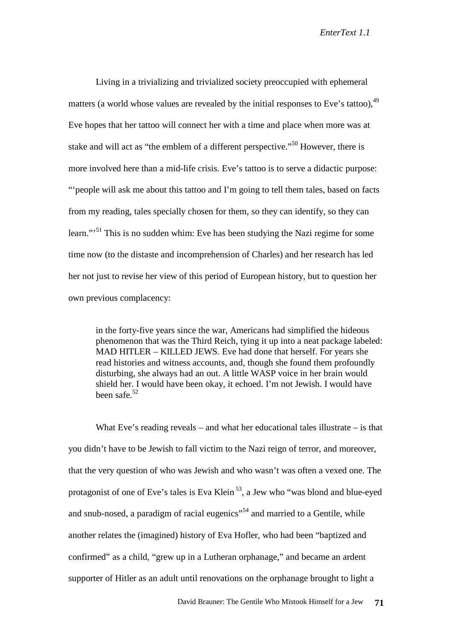Living in a trivializing and trivialized society preoccupied with ephemeral matters (a world whose values are revealed by the initial responses to Eve's tattoo),  $49$ Eve hopes that her tattoo will connect her with a time and place when more was at stake and will act as "the emblem of a different perspective."50 However, there is more involved here than a mid-life crisis. Eve's tattoo is to serve a didactic purpose: "'people will ask me about this tattoo and I'm going to tell them tales, based on facts from my reading, tales specially chosen for them, so they can identify, so they can learn."<sup>51</sup> This is no sudden whim: Eve has been studying the Nazi regime for some time now (to the distaste and incomprehension of Charles) and her research has led her not just to revise her view of this period of European history, but to question her own previous complacency:

in the forty-five years since the war, Americans had simplified the hideous phenomenon that was the Third Reich, tying it up into a neat package labeled: MAD HITLER – KILLED JEWS. Eve had done that herself. For years she read histories and witness accounts, and, though she found them profoundly disturbing, she always had an out. A little WASP voice in her brain would shield her. I would have been okay, it echoed. I'm not Jewish. I would have been safe. $52$ 

What Eve's reading reveals – and what her educational tales illustrate – is that you didn't have to be Jewish to fall victim to the Nazi reign of terror, and moreover, that the very question of who was Jewish and who wasn't was often a vexed one. The protagonist of one of Eve's tales is Eva Klein<sup>53</sup>, a Jew who "was blond and blue-eyed and snub-nosed, a paradigm of racial eugenics"<sup>54</sup> and married to a Gentile, while another relates the (imagined) history of Eva Hofler, who had been "baptized and confirmed" as a child, "grew up in a Lutheran orphanage," and became an ardent supporter of Hitler as an adult until renovations on the orphanage brought to light a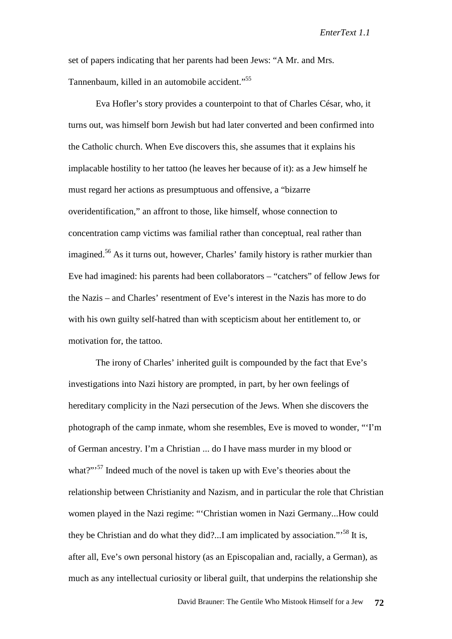*EnterText 1.1*

set of papers indicating that her parents had been Jews: "A Mr. and Mrs. Tannenbaum, killed in an automobile accident."<sup>55</sup>

Eva Hofler's story provides a counterpoint to that of Charles César, who, it turns out, was himself born Jewish but had later converted and been confirmed into the Catholic church. When Eve discovers this, she assumes that it explains his implacable hostility to her tattoo (he leaves her because of it): as a Jew himself he must regard her actions as presumptuous and offensive, a "bizarre overidentification," an affront to those, like himself, whose connection to concentration camp victims was familial rather than conceptual, real rather than imagined.<sup>56</sup> As it turns out, however, Charles' family history is rather murkier than Eve had imagined: his parents had been collaborators – "catchers" of fellow Jews for the Nazis – and Charles' resentment of Eve's interest in the Nazis has more to do with his own guilty self-hatred than with scepticism about her entitlement to, or motivation for, the tattoo.

The irony of Charles' inherited guilt is compounded by the fact that Eve's investigations into Nazi history are prompted, in part, by her own feelings of hereditary complicity in the Nazi persecution of the Jews. When she discovers the photograph of the camp inmate, whom she resembles, Eve is moved to wonder, "'I'm of German ancestry. I'm a Christian ... do I have mass murder in my blood or what?"<sup>57</sup> Indeed much of the novel is taken up with Eve's theories about the relationship between Christianity and Nazism, and in particular the role that Christian women played in the Nazi regime: "'Christian women in Nazi Germany...How could they be Christian and do what they did?...I am implicated by association."<sup>58</sup> It is, after all, Eve's own personal history (as an Episcopalian and, racially, a German), as much as any intellectual curiosity or liberal guilt, that underpins the relationship she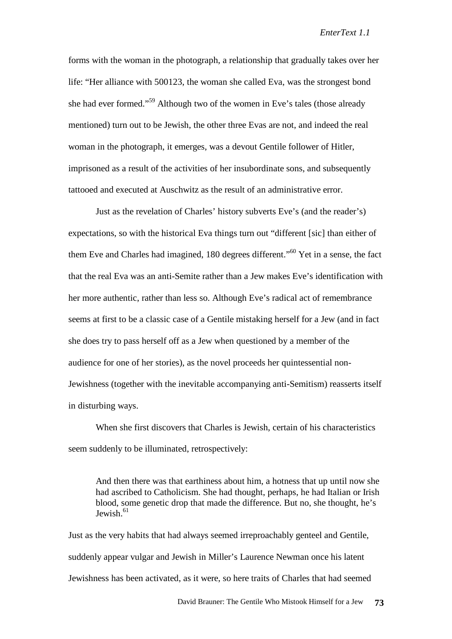forms with the woman in the photograph, a relationship that gradually takes over her life: "Her alliance with 500123, the woman she called Eva, was the strongest bond she had ever formed."59 Although two of the women in Eve's tales (those already mentioned) turn out to be Jewish, the other three Evas are not, and indeed the real woman in the photograph, it emerges, was a devout Gentile follower of Hitler, imprisoned as a result of the activities of her insubordinate sons, and subsequently tattooed and executed at Auschwitz as the result of an administrative error.

Just as the revelation of Charles' history subverts Eve's (and the reader's) expectations, so with the historical Eva things turn out "different [sic] than either of them Eve and Charles had imagined, 180 degrees different."<sup>60</sup> Yet in a sense, the fact that the real Eva was an anti-Semite rather than a Jew makes Eve's identification with her more authentic, rather than less so. Although Eve's radical act of remembrance seems at first to be a classic case of a Gentile mistaking herself for a Jew (and in fact she does try to pass herself off as a Jew when questioned by a member of the audience for one of her stories), as the novel proceeds her quintessential non-Jewishness (together with the inevitable accompanying anti-Semitism) reasserts itself in disturbing ways.

When she first discovers that Charles is Jewish, certain of his characteristics seem suddenly to be illuminated, retrospectively:

And then there was that earthiness about him, a hotness that up until now she had ascribed to Catholicism. She had thought, perhaps, he had Italian or Irish blood, some genetic drop that made the difference. But no, she thought, he's **Jewish**<sup>61</sup>

Just as the very habits that had always seemed irreproachably genteel and Gentile, suddenly appear vulgar and Jewish in Miller's Laurence Newman once his latent Jewishness has been activated, as it were, so here traits of Charles that had seemed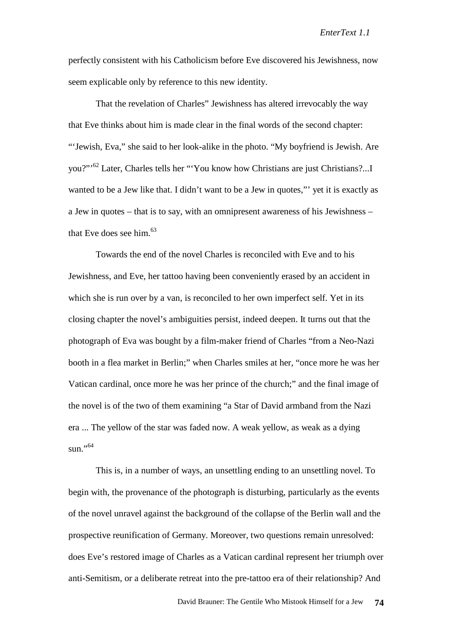perfectly consistent with his Catholicism before Eve discovered his Jewishness, now seem explicable only by reference to this new identity.

That the revelation of Charles" Jewishness has altered irrevocably the way that Eve thinks about him is made clear in the final words of the second chapter: "'Jewish, Eva," she said to her look-alike in the photo. "My boyfriend is Jewish. Are you?"'62 Later, Charles tells her "'You know how Christians are just Christians?...I wanted to be a Jew like that. I didn't want to be a Jew in quotes,"' yet it is exactly as a Jew in quotes – that is to say, with an omnipresent awareness of his Jewishness – that Eve does see him. $63$ 

Towards the end of the novel Charles is reconciled with Eve and to his Jewishness, and Eve, her tattoo having been conveniently erased by an accident in which she is run over by a van, is reconciled to her own imperfect self. Yet in its closing chapter the novel's ambiguities persist, indeed deepen. It turns out that the photograph of Eva was bought by a film-maker friend of Charles "from a Neo-Nazi booth in a flea market in Berlin;" when Charles smiles at her, "once more he was her Vatican cardinal, once more he was her prince of the church;" and the final image of the novel is of the two of them examining "a Star of David armband from the Nazi era ... The yellow of the star was faded now. A weak yellow, as weak as a dying sun."<sup>64</sup>

This is, in a number of ways, an unsettling ending to an unsettling novel. To begin with, the provenance of the photograph is disturbing, particularly as the events of the novel unravel against the background of the collapse of the Berlin wall and the prospective reunification of Germany. Moreover, two questions remain unresolved: does Eve's restored image of Charles as a Vatican cardinal represent her triumph over anti-Semitism, or a deliberate retreat into the pre-tattoo era of their relationship? And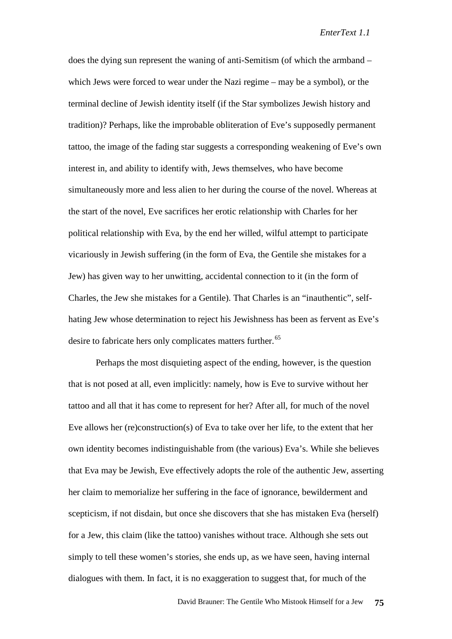does the dying sun represent the waning of anti-Semitism (of which the armband – which Jews were forced to wear under the Nazi regime – may be a symbol), or the terminal decline of Jewish identity itself (if the Star symbolizes Jewish history and tradition)? Perhaps, like the improbable obliteration of Eve's supposedly permanent tattoo, the image of the fading star suggests a corresponding weakening of Eve's own interest in, and ability to identify with, Jews themselves, who have become simultaneously more and less alien to her during the course of the novel. Whereas at the start of the novel, Eve sacrifices her erotic relationship with Charles for her political relationship with Eva, by the end her willed, wilful attempt to participate vicariously in Jewish suffering (in the form of Eva, the Gentile she mistakes for a Jew) has given way to her unwitting, accidental connection to it (in the form of Charles, the Jew she mistakes for a Gentile). That Charles is an "inauthentic", selfhating Jew whose determination to reject his Jewishness has been as fervent as Eve's desire to fabricate hers only complicates matters further.<sup>65</sup>

Perhaps the most disquieting aspect of the ending, however, is the question that is not posed at all, even implicitly: namely, how is Eve to survive without her tattoo and all that it has come to represent for her? After all, for much of the novel Eve allows her (re)construction(s) of Eva to take over her life, to the extent that her own identity becomes indistinguishable from (the various) Eva's. While she believes that Eva may be Jewish, Eve effectively adopts the role of the authentic Jew, asserting her claim to memorialize her suffering in the face of ignorance, bewilderment and scepticism, if not disdain, but once she discovers that she has mistaken Eva (herself) for a Jew, this claim (like the tattoo) vanishes without trace. Although she sets out simply to tell these women's stories, she ends up, as we have seen, having internal dialogues with them. In fact, it is no exaggeration to suggest that, for much of the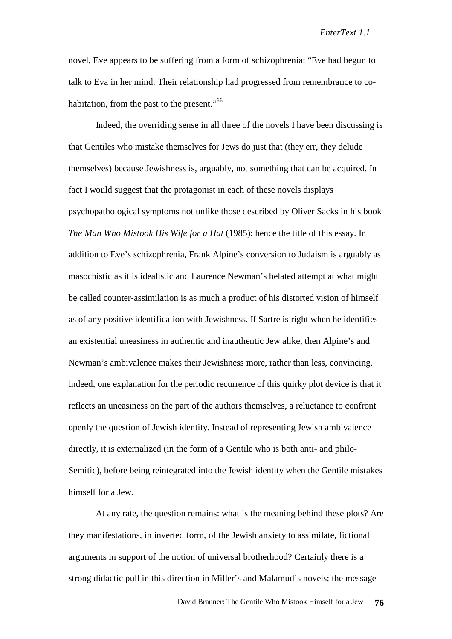novel, Eve appears to be suffering from a form of schizophrenia: "Eve had begun to talk to Eva in her mind. Their relationship had progressed from remembrance to cohabitation, from the past to the present."<sup>66</sup>

Indeed, the overriding sense in all three of the novels I have been discussing is that Gentiles who mistake themselves for Jews do just that (they err, they delude themselves) because Jewishness is, arguably, not something that can be acquired. In fact I would suggest that the protagonist in each of these novels displays psychopathological symptoms not unlike those described by Oliver Sacks in his book *The Man Who Mistook His Wife for a Hat* (1985): hence the title of this essay. In addition to Eve's schizophrenia, Frank Alpine's conversion to Judaism is arguably as masochistic as it is idealistic and Laurence Newman's belated attempt at what might be called counter-assimilation is as much a product of his distorted vision of himself as of any positive identification with Jewishness. If Sartre is right when he identifies an existential uneasiness in authentic and inauthentic Jew alike, then Alpine's and Newman's ambivalence makes their Jewishness more, rather than less, convincing. Indeed, one explanation for the periodic recurrence of this quirky plot device is that it reflects an uneasiness on the part of the authors themselves, a reluctance to confront openly the question of Jewish identity. Instead of representing Jewish ambivalence directly, it is externalized (in the form of a Gentile who is both anti- and philo-Semitic), before being reintegrated into the Jewish identity when the Gentile mistakes himself for a Jew.

At any rate, the question remains: what is the meaning behind these plots? Are they manifestations, in inverted form, of the Jewish anxiety to assimilate, fictional arguments in support of the notion of universal brotherhood? Certainly there is a strong didactic pull in this direction in Miller's and Malamud's novels; the message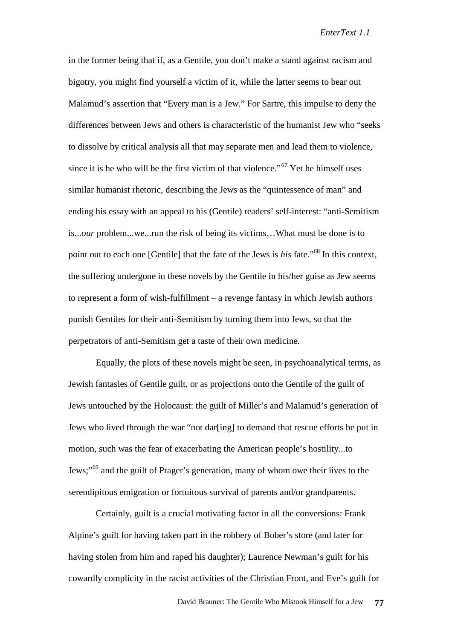in the former being that if, as a Gentile, you don't make a stand against racism and bigotry, you might find yourself a victim of it, while the latter seems to bear out Malamud's assertion that "Every man is a Jew." For Sartre, this impulse to deny the differences between Jews and others is characteristic of the humanist Jew who "seeks to dissolve by critical analysis all that may separate men and lead them to violence, since it is he who will be the first victim of that violence."<sup>67</sup> Yet he himself uses similar humanist rhetoric, describing the Jews as the "quintessence of man" and ending his essay with an appeal to his (Gentile) readers' self-interest: "anti-Semitism is...*our* problem...we...run the risk of being its victims…What must be done is to point out to each one [Gentile] that the fate of the Jews is *his* fate."68 In this context, the suffering undergone in these novels by the Gentile in his/her guise as Jew seems to represent a form of wish-fulfillment – a revenge fantasy in which Jewish authors punish Gentiles for their anti-Semitism by turning them into Jews, so that the perpetrators of anti-Semitism get a taste of their own medicine.

Equally, the plots of these novels might be seen, in psychoanalytical terms, as Jewish fantasies of Gentile guilt, or as projections onto the Gentile of the guilt of Jews untouched by the Holocaust: the guilt of Miller's and Malamud's generation of Jews who lived through the war "not dar[ing] to demand that rescue efforts be put in motion, such was the fear of exacerbating the American people's hostility...to Jews;"69 and the guilt of Prager's generation, many of whom owe their lives to the serendipitous emigration or fortuitous survival of parents and/or grandparents.

Certainly, guilt is a crucial motivating factor in all the conversions: Frank Alpine's guilt for having taken part in the robbery of Bober's store (and later for having stolen from him and raped his daughter); Laurence Newman's guilt for his cowardly complicity in the racist activities of the Christian Front, and Eve's guilt for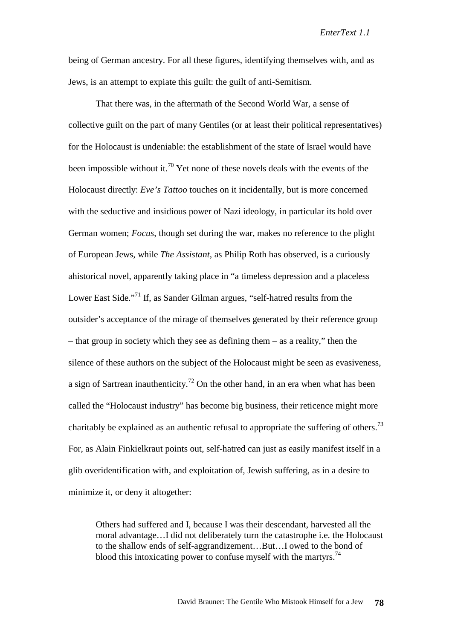being of German ancestry. For all these figures, identifying themselves with, and as Jews, is an attempt to expiate this guilt: the guilt of anti-Semitism.

That there was, in the aftermath of the Second World War, a sense of collective guilt on the part of many Gentiles (or at least their political representatives) for the Holocaust is undeniable: the establishment of the state of Israel would have been impossible without it.<sup>70</sup> Yet none of these novels deals with the events of the Holocaust directly: *Eve's Tattoo* touches on it incidentally, but is more concerned with the seductive and insidious power of Nazi ideology, in particular its hold over German women; *Focus*, though set during the war, makes no reference to the plight of European Jews, while *The Assistant*, as Philip Roth has observed, is a curiously ahistorical novel, apparently taking place in "a timeless depression and a placeless Lower East Side."<sup>71</sup> If, as Sander Gilman argues, "self-hatred results from the outsider's acceptance of the mirage of themselves generated by their reference group – that group in society which they see as defining them – as a reality," then the silence of these authors on the subject of the Holocaust might be seen as evasiveness, a sign of Sartrean inauthenticity.<sup>72</sup> On the other hand, in an era when what has been called the "Holocaust industry" has become big business, their reticence might more charitably be explained as an authentic refusal to appropriate the suffering of others.<sup>73</sup> For, as Alain Finkielkraut points out, self-hatred can just as easily manifest itself in a glib overidentification with, and exploitation of, Jewish suffering, as in a desire to minimize it, or deny it altogether:

Others had suffered and I, because I was their descendant, harvested all the moral advantage…I did not deliberately turn the catastrophe i.e. the Holocaust to the shallow ends of self-aggrandizement…But…I owed to the bond of blood this intoxicating power to confuse myself with the martyrs.<sup>74</sup>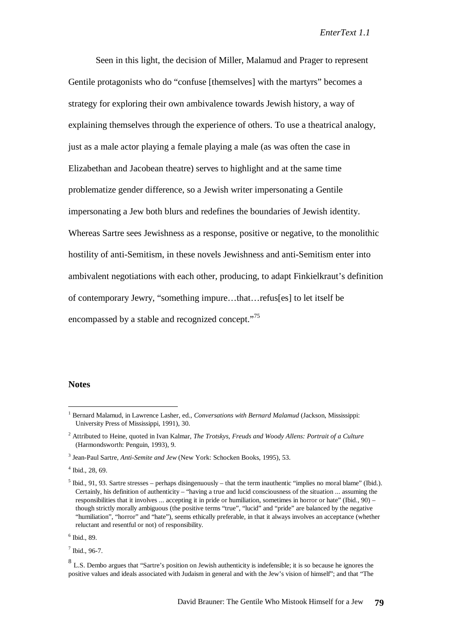Seen in this light, the decision of Miller, Malamud and Prager to represent Gentile protagonists who do "confuse [themselves] with the martyrs" becomes a strategy for exploring their own ambivalence towards Jewish history, a way of explaining themselves through the experience of others. To use a theatrical analogy, just as a male actor playing a female playing a male (as was often the case in Elizabethan and Jacobean theatre) serves to highlight and at the same time problematize gender difference, so a Jewish writer impersonating a Gentile impersonating a Jew both blurs and redefines the boundaries of Jewish identity. Whereas Sartre sees Jewishness as a response, positive or negative, to the monolithic hostility of anti-Semitism, in these novels Jewishness and anti-Semitism enter into ambivalent negotiations with each other, producing, to adapt Finkielkraut's definition of contemporary Jewry, "something impure…that…refus[es] to let itself be encompassed by a stable and recognized concept."<sup>75</sup>

#### **Notes**

 $\overline{a}$ 

6 Ibid., 89.

 $7$  Ibid., 96-7.

<sup>&</sup>lt;sup>1</sup> Bernard Malamud, in Lawrence Lasher, ed., *Conversations with Bernard Malamud* (Jackson, Mississippi: University Press of Mississippi, 1991), 30.

<sup>2</sup> Attributed to Heine, quoted in Ivan Kalmar, *The Trotskys, Freuds and Woody Allens: Portrait of a Culture* (Harmondsworth: Penguin, 1993), 9.

<sup>3</sup> Jean-Paul Sartre, *Anti-Semite and Jew* (New York: Schocken Books, 1995), 53.

<sup>4</sup> Ibid., 28, 69.

 $<sup>5</sup>$  Ibid., 91, 93. Sartre stresses – perhaps disingenuously – that the term inauthentic "implies no moral blame" (Ibid.).</sup> Certainly, his definition of authenticity – "having a true and lucid consciousness of the situation ... assuming the responsibilities that it involves ... accepting it in pride or humiliation, sometimes in horror or hate" (Ibid., 90) – though strictly morally ambiguous (the positive terms "true", "lucid" and "pride" are balanced by the negative "humiliation", "horror" and "hate"), seems ethically preferable, in that it always involves an acceptance (whether reluctant and resentful or not) of responsibility.

<sup>&</sup>lt;sup>8</sup> L.S. Dembo argues that "Sartre's position on Jewish authenticity is indefensible; it is so because he ignores the positive values and ideals associated with Judaism in general and with the Jew's vision of himself"; and that "The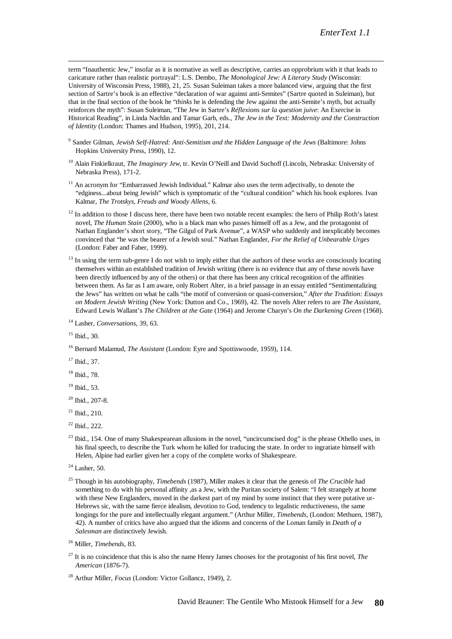term "Inauthentic Jew," insofar as it is normative as well as descriptive, carries an opprobrium with it that leads to caricature rather than realistic portrayal": L.S. Dembo, *The Monological Jew: A Literary Study* (Wisconsin: University of Wisconsin Press, 1988), 21, 25. Susan Suleiman takes a more balanced view, arguing that the first section of Sartre's book is an effective "declaration of war against anti-Semites" (Sartre quoted in Suleiman), but that in the final section of the book he "*thinks* he is defending the Jew against the anti-Semite's myth, but actually reinforces the myth": Susan Suleiman, "The Jew in Sartre's *Réflexions sur la question juive*: An Exercise in Historical Reading", in Linda Nachlin and Tamar Garb, eds., *The Jew in the Text: Modernity and the Construction of Identity* (London: Thames and Hudson, 1995), 201, 214.

- 9 Sander Gilman, *Jewish Self-Hatred: Anti-Semitism and the Hidden Language of the Jews* (Baltimore: Johns Hopkins University Press, 1990), 12.
- 10 Alain Finkielkraut, *The Imaginary Jew*, tr. Kevin O'Neill and David Suchoff (Lincoln, Nebraska: University of Nebraska Press), 171-2.
- $11$  An acronym for "Embarrassed Jewish Individual." Kalmar also uses the term adjectivally, to denote the "edginess...about being Jewish" which is symptomatic of the "cultural condition" which his book explores. Ivan Kalmar, *The Trotskys, Freuds and Woody Allens*, 6.
- $12$  In addition to those I discuss here, there have been two notable recent examples: the hero of Philip Roth's latest novel, *The Human Stain* (2000), who is a black man who passes himself off as a Jew, and the protagonist of Nathan Englander's short story, "The Gilgul of Park Avenue", a WASP who suddenly and inexplicably becomes convinced that "he was the bearer of a Jewish soul." Nathan Englander, *For the Relief of Unbearable Urges* (London: Faber and Faber, 1999).
- $13$  In using the term sub-genre I do not wish to imply either that the authors of these works are consciously locating themselves within an established tradition of Jewish writing (there is no evidence that any of these novels have been directly influenced by any of the others) or that there has been any critical recognition of the affinities between them. As far as I am aware, only Robert Alter, in a brief passage in an essay entitled "Sentimentalizing the Jews" has written on what he calls "the motif of conversion or quasi-conversion," *After the Tradition: Essays on Modern Jewish Writing* (New York: Dutton and Co., 1969), 42. The novels Alter refers to are *The Assistant*, Edward Lewis Wallant's *The Children at the Gate* (1964) and Jerome Charyn's *On the Darkening Green* (1968).

14 Lasher, *Conversations*, 39, 63.

<sup>15</sup> Ibid., 30.

16 Bernard Malamud, *The Assistant* (London: Eyre and Spottiswoode, 1959), 114.

 $17$  Ibid., 37.

18 Ibid., 78.

19 Ibid., 53.

20 Ibid., 207-8.

 $21$  Ibid., 210.

22 Ibid., 222.

 $^{23}$  Ibid., 154. One of many Shakespearean allusions in the novel, "uncircumcised dog" is the phrase Othello uses, in his final speech, to describe the Turk whom he killed for traducing the state. In order to ingratiate himself with Helen, Alpine had earlier given her a copy of the complete works of Shakespeare.

 $24$  Lasher, 50.

25 Though in his autobiography, *Timebends* (1987), Miller makes it clear that the genesis of *The Crucible* had something to do with his personal affinity , as a Jew, with the Puritan society of Salem: "I felt strangely at home with these New Englanders, moved in the darkest part of my mind by some instinct that they were putative ur-Hebrews sic, with the same fierce idealism, devotion to God, tendency to legalistic reductiveness, the same longings for the pure and intellectually elegant argument." (Arthur Miller, *Timebends*, (London: Methuen, 1987), 42). A number of critics have also argued that the idioms and concerns of the Loman family in *Death of a Salesman* are distinctively Jewish.

26 Miller, *Timebends*, 83.

27 It is no coincidence that this is also the name Henry James chooses for the protagonist of his first novel, *The American* (1876-7).

28 Arthur Miller, *Focus* (London: Victor Gollancz, 1949), 2.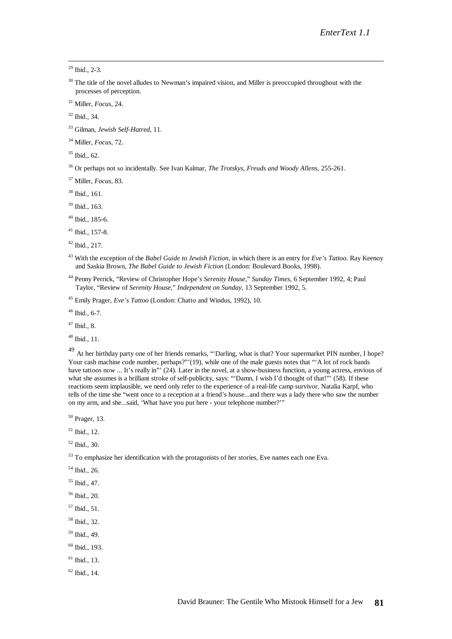29 Ibid., 2-3.

<sup>30</sup> The title of the novel alludes to Newman's impaired vision, and Miller is preoccupied throughout with the processes of perception.

31 Miller, *Focus*, 24.

32 Ibid., 34.

33 Gilman, *Jewish Self-Hatred*, 11.

34 Miller, *Focus*, 72.

35 Ibid., 62.

36 Or perhaps not so incidentally. See Ivan Kalmar, *The Trotskys, Freuds and Woody Allens*, 255-261.

37 Miller, *Focus*, 83.

38 Ibid., 161.

39 Ibid., 163.

40 Ibid., 185-6.

41 Ibid., 157-8.

 $42$  Ibid., 217.

43 With the exception of the *Babel Guide to Jewish Fiction*, in which there is an entry for *Eve's Tattoo*. Ray Keenoy and Saskia Brown, *The Babel Guide to Jewish Fiction* (London: Boulevard Books, 1998).

44 Penny Perrick, "Review of Christopher Hope's *Serenity House,*" *Sunday Times*, 6 September 1992, 4; Paul Taylor, "Review of *Serenity House,*" *Independent on Sunday*, 13 September 1992, 5.

45 Emily Prager, *Eve's Tattoo* (London: Chatto and Windus, 1992), 10.

46 Ibid., 6-7.

47 Ibid., 8.

48 Ibid., 11.

<sup>49</sup> At her birthday party one of her friends remarks, "'Darling, what is that? Your supermarket PIN number, I hope? Your cash machine code number, perhaps?"'(19), while one of the male guests notes that "'A lot of rock bands" have tattoos now ... It's really in"' (24). Later in the novel, at a show-business function, a young actress, envious of what she assumes is a brilliant stroke of self-publicity, says: "'Damn, I wish I'd thought of that!"' (58). If these reactions seem implausible, we need only refer to the experience of a real-life camp survivor, Natalia Karpf, who tells of the time she "went once to a reception at a friend's house...and there was a lady there who saw the number on my arm, and she...said, 'What have you put here - your telephone number?'"

50 Prager, 13.

51 Ibid., 12.

52 Ibid., 30.

<sup>53</sup> To emphasize her identification with the protagonists of her stories, Eve names each one Eva.

54 Ibid., 26.

55 Ibid., 47.

56 Ibid., 20.

- 57 Ibid., 51.
- 58 Ibid., 32.
- 59 Ibid., 49.
- 60 Ibid., 193.
- 61 Ibid., 13.

62 Ibid., 14.